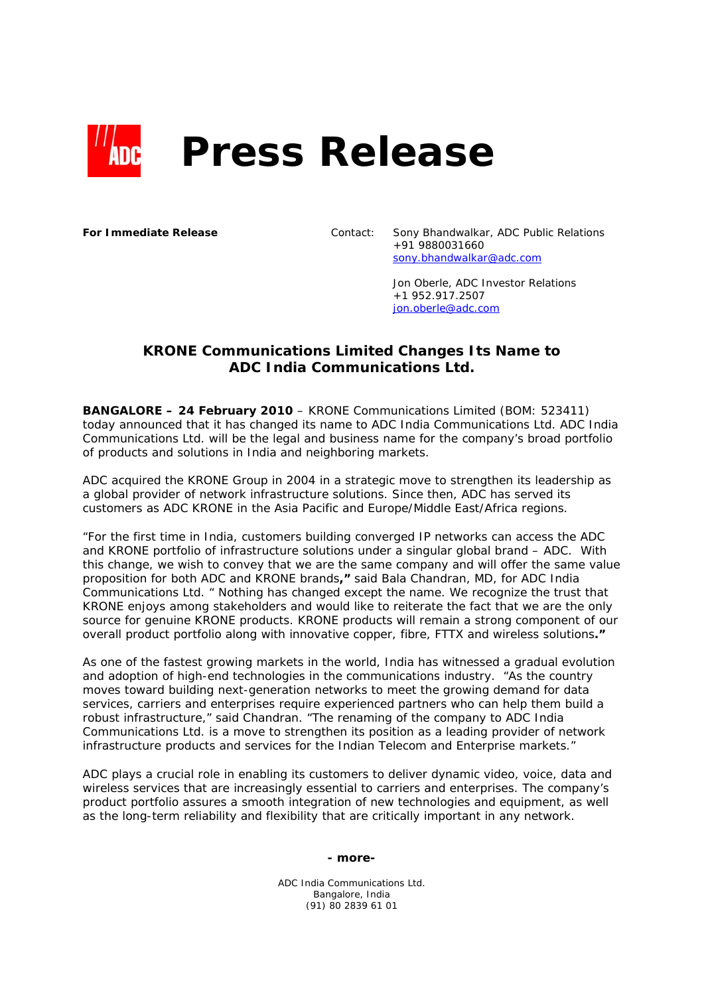

**For Immediate Release** Contact: Sony Bhandwalkar, ADC Public Relations +91 9880031660 sony.bhandwalkar@adc.com

> Jon Oberle, ADC Investor Relations +1 952.917.2507 jon.oberle@adc.com

## **KRONE Communications Limited Changes Its Name to ADC India Communications Ltd.**

**BANGALORE – 24 February 2010** – KRONE Communications Limited (BOM: 523411) today announced that it has changed its name to ADC India Communications Ltd. ADC India Communications Ltd. will be the legal and business name for the company's broad portfolio of products and solutions in India and neighboring markets.

ADC acquired the KRONE Group in 2004 in a strategic move to strengthen its leadership as a global provider of network infrastructure solutions. Since then, ADC has served its customers as ADC KRONE in the Asia Pacific and Europe/Middle East/Africa regions.

*"For the first time in India, customers building converged IP networks can access the ADC and KRONE portfolio of infrastructure solutions under a singular global brand – ADC. With this change, we wish to convey that we are the same company and will offer the same value proposition for both ADC and KRONE brands,"* said Bala Chandran, MD, for ADC India Communications Ltd. *" Nothing has changed except the name. We recognize the trust that KRONE enjoys among stakeholders and would like to reiterate the fact that we are the only source for genuine KRONE products. KRONE products will remain a strong component of our overall product portfolio along with innovative copper, fibre, FTTX and wireless solutions."*

As one of the fastest growing markets in the world, India has witnessed a gradual evolution and adoption of high-end technologies in the communications industry. *"As the country moves toward building next-generation networks to meet the growing demand for data services, carriers and enterprises require experienced partners who can help them build a robust infrastructure,"* said Chandran. *"The renaming of the company to ADC India Communications Ltd. is a move to strengthen its position as a leading provider of network infrastructure products and services for the Indian Telecom and Enterprise markets."* 

ADC plays a crucial role in enabling its customers to deliver dynamic video, voice, data and wireless services that are increasingly essential to carriers and enterprises. The company's product portfolio assures a smooth integration of new technologies and equipment, as well as the long-term reliability and flexibility that are critically important in any network.

**- more-** 

ADC India Communications Ltd. Bangalore, India (91) 80 2839 61 01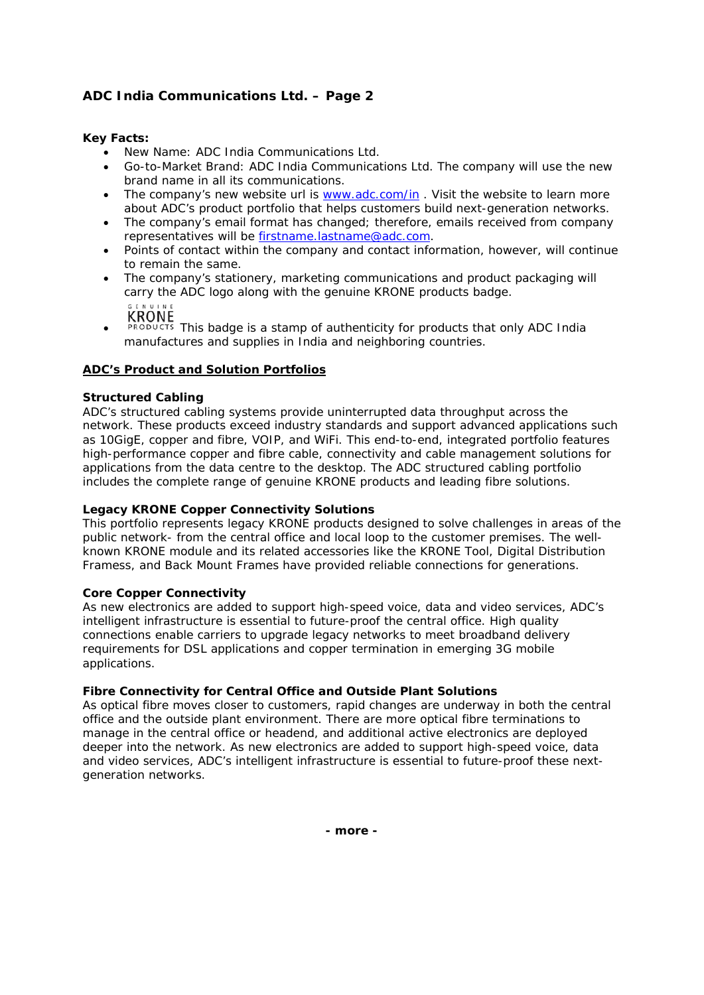# **ADC India Communications Ltd. – Page 2**

### **Key Facts:**

- New Name: ADC India Communications Ltd.
- Go-to-Market Brand: ADC India Communications Ltd. The company will use the new brand name in all its communications.
- The company's new website url is www.adc.com/in. Visit the website to learn more about ADC's product portfolio that helps customers build next-generation networks.
- The company's email format has changed; therefore, emails received from company representatives will be firstname.lastname@adc.com.
- Points of contact within the company and contact information, however, will continue to remain the same.
- The company's stationery, marketing communications and product packaging will carry the ADC logo along with the genuine KRONE products badge. **KRONE**
- **PRODUCTS** This badge is a stamp of authenticity for products that only ADC India manufactures and supplies in India and neighboring countries.

## **ADC's Product and Solution Portfolios**

### **Structured Cabling**

ADC's structured cabling systems provide uninterrupted data throughput across the network. These products exceed industry standards and support advanced applications such as 10GigE, copper and fibre, VOIP, and WiFi. This end-to-end, integrated portfolio features high-performance copper and fibre cable, connectivity and cable management solutions for applications from the data centre to the desktop. The ADC structured cabling portfolio includes the complete range of genuine KRONE products and leading fibre solutions.

### **Legacy KRONE Copper Connectivity Solutions**

This portfolio represents legacy KRONE products designed to solve challenges in areas of the public network- from the central office and local loop to the customer premises. The wellknown KRONE module and its related accessories like the KRONE Tool, Digital Distribution Framess, and Back Mount Frames have provided reliable connections for generations.

### **Core Copper Connectivity**

As new electronics are added to support high-speed voice, data and video services, ADC's intelligent infrastructure is essential to future-proof the central office. High quality connections enable carriers to upgrade legacy networks to meet broadband delivery requirements for DSL applications and copper termination in emerging 3G mobile applications.

### **Fibre Connectivity for Central Office and Outside Plant Solutions**

As optical fibre moves closer to customers, rapid changes are underway in both the central office and the outside plant environment. There are more optical fibre terminations to manage in the central office or headend, and additional active electronics are deployed deeper into the network. As new electronics are added to support high-speed voice, data and video services, ADC's intelligent infrastructure is essential to future-proof these nextgeneration networks.

**- more -**